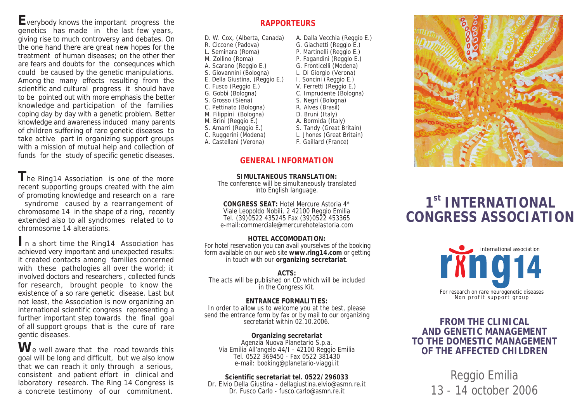*Everybody knows the important progress the genetics has made in the last few years, giving rise to much controversy and debates. On the one hand there are great new hopes for the treatment of human diseases; on the other ther are fears and doubts for the consequnces which could be caused by the genetic manipulations. Among the many effects resulting from the scientific and cultural progress it should have to be pointed out with more emphasis the better knowledge and participation of the families coping day by day with a genetic problem. Better knowledge and awareness induced many parents of children suffering of rare genetic diseases to take active part in organizing support groups with a mission of mutual help and collection of funds for the study of specific genetic diseases.*

*The Ring14 Association is one of the more recent supporting groups created with the aim of promoting knowledge and research on a rare syndrome caused by a rearrangement of chromosome 14 in the shape of a ring, recently extended also to all syndromes related to to chromosome 14 alterations.*

*In a short time the Ring14 Association has achieved very important and unexpected results: it created contacts among families concerned with these pathologies all over the world; it involved doctors and researchers , collected funds for research, brought people to know the existence of a so rare genetic disease. Last but not least, the Association is now organizing an international scientific congress representing a further important step towards the final goal of all support groups that is the cure of rare gentic diseases.*

*We well aware that the road towards this goal will be long and difficult, but we also know that we can reach it only through a serious, consistent and patient effort in clinical and laboratory research. The Ring 14 Congress is a concrete testimony of our commitment.*

# *RAPPORTEURS*

| D. W. Cox, (Alberta, Canada)   | A. Dalla Vecchia (Reggio E.) |
|--------------------------------|------------------------------|
| R. Ciccone (Padova)            | G. Giachetti (Reggio E.)     |
| L. Seminara (Roma)             | P. Martinelli (Reggio E.)    |
| M. Zollino (Roma)              | P. Fagandini (Reggio E.)     |
| A. Scarano (Reggio E.)         | G. Fronticelli (Modena)      |
| S. Giovannini (Bologna)        | L. Di Giorgio (Verona)       |
| E. Della Giustina, (Reggio E.) | I. Soncini (Reggio E.)       |
| C. Fusco (Reggio E.)           | V. Ferretti (Reggio E.)      |
| G. Gobbi (Bologna)             | C. Imprudente (Bologna)      |
| S. Grosso (Siena)              | S. Negri (Bologna)           |
| C. Pettinato (Bologna)         | R. Alves (Brasil)            |
| M. Filippini (Bologna)         | D. Bruni (Italy)             |
| M. Brini (Reggio E.)           | A. Bormida (Italy)           |
| S. Amarri (Reggio E.)          | S. Tandy (Great Britain)     |
| C. Ruggerini (Modena)          | L. Jhones (Great Britain)    |

## *GENERAL INFORMATION*

*F. Gaillard (France)*

*A. Castellani (Verona)*

*SIMULTANEOUS TRANSLATION: The conference will be simultaneously translated into English language.*

*CONGRESS SEAT: Hotel Mercure Astoria 4\* Viale Leopoldo Nobili, 2 42100 Reggio Emilia Tel. (39)0522 435245 Fax (39)0522 453365 e-mail:commerciale@mercurehotelastoria.com*

*HOTEL ACCOMODATION: For hotel reservation you can avail yourselves of the booking form available on our web site www.ring14.com or getting in touch with our organizing secretariat.*

*ACTS: The acts will be published on CD which will be included in the Congress Kit.*

#### *ENTRANCE FORMALITIES: In order to allow us to welcome you at the best, please send the entrance form by fax or by mail to our organizing secretariat within 02.10.2006.*

*Organizing secretariat Agenzia Nuova Planetario S.p.a. Via Emilia All'angelo 44/I - 42100 Reggio Emilia Tel. 0522 369450 - Fax 0522 381430 e-mail: booking@planetario-viaggi.it*

*Scientific secretariat tel. 0522/296033 Dr. Elvio Della Giustina - dellagiustina.elvio@asmn.re.it Dr. Fusco Carlo - fusco.carlo@asmn.re.it*



# *1 st INTERNATIONAL CONGRESS ASSOCIATION*



*FROM THE CLINICAL AND GENETIC MANAGEMENT TO THE DOMESTIC MANAGEMENT OF THE AFFECTED CHILDREN*

> Reggio Emilia 13 - 14 october 2006